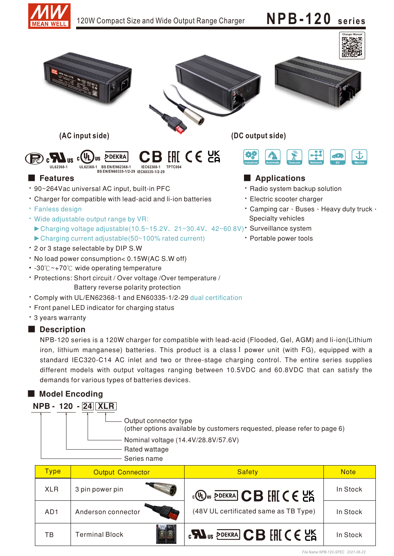

# 120W Compact Size and Wide Output Range Charger **NPB-120 series**



Battery reverse polarity protection

- Comply with UL/EN62368-1 and EN60335-1/2-29 dual certification
- Front panel LED indicator for charging status
- 3 years warranty

## Description

NPB-120 series is a 120W charger for compatible with lead-acid (Flooded, Gel, AGM) and li-ion(Lithium iron, lithium manganese) batteries. This product is a class I power unit (with FG), equipped with a standard IEC320-C14 AC inlet and two or three-stage charging control. The entire series supplies different models with output voltages ranging between 10.5VDC and 60.8VDC that can satisfy the demands for various types of batteries devices.

# ■ Model Encoding

| <b>NPB - 120 - 24 XLR</b> |                                                                                                   |
|---------------------------|---------------------------------------------------------------------------------------------------|
|                           | Output connector type<br>(other options available by customers requested, please refer to page 6) |
|                           | Nominal voltage (14.4V/28.8V/57.6V)                                                               |
|                           | Rated wattage                                                                                     |
|                           | Series name                                                                                       |

| <b>Type</b>     | <b>Output Connector</b> | <b>Safety</b>                                                                                                                                                                          | <b>Note</b> |
|-----------------|-------------------------|----------------------------------------------------------------------------------------------------------------------------------------------------------------------------------------|-------------|
| <b>XLR</b>      | 3 pin power pin         | $\mathbb{C}$ $\mathbb{D}$ <sub>us</sub> $\overline{\mathbb{P}}$ dekra $\overline{\mathbb{C}}$ <b>B</b> $\overline{\mathbb{H}}$ $\mathbb{C}$ $\in$ $\mathbb{C}$ $\overline{\mathbb{S}}$ | In Stock    |
| AD <sub>1</sub> | Anderson connector      | (48V UL certificated same as TB Type)                                                                                                                                                  | In Stock    |
| TB              | <b>Terminal Block</b>   | <b>EXA</b> US PDEKRA CB FHICE US                                                                                                                                                       | In Stock    |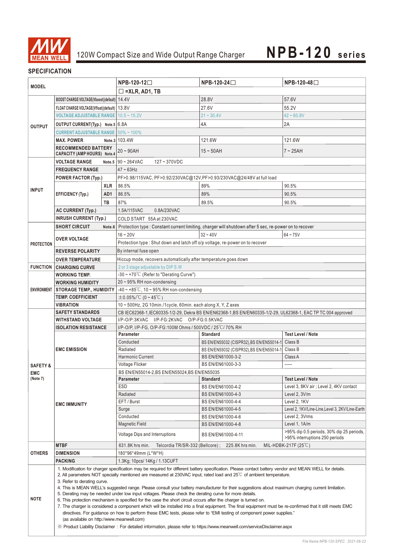

# **SPECIFICATION**

|                     |                                                                                                                                                                                                                                                                                                                                                                                                                                                                                                                                                                                                                                                                                                                                                                                                                                                                                                                                                                                                                                            |                      | NPB-120-12□                                                                                         |                                                                                                                | NPB-120-48□                                                                 |  |  |
|---------------------|--------------------------------------------------------------------------------------------------------------------------------------------------------------------------------------------------------------------------------------------------------------------------------------------------------------------------------------------------------------------------------------------------------------------------------------------------------------------------------------------------------------------------------------------------------------------------------------------------------------------------------------------------------------------------------------------------------------------------------------------------------------------------------------------------------------------------------------------------------------------------------------------------------------------------------------------------------------------------------------------------------------------------------------------|----------------------|-----------------------------------------------------------------------------------------------------|----------------------------------------------------------------------------------------------------------------|-----------------------------------------------------------------------------|--|--|
| <b>MODEL</b>        |                                                                                                                                                                                                                                                                                                                                                                                                                                                                                                                                                                                                                                                                                                                                                                                                                                                                                                                                                                                                                                            |                      |                                                                                                     | $NPB-120-24$                                                                                                   |                                                                             |  |  |
|                     |                                                                                                                                                                                                                                                                                                                                                                                                                                                                                                                                                                                                                                                                                                                                                                                                                                                                                                                                                                                                                                            | $\Box$ =XLR, AD1, TB |                                                                                                     |                                                                                                                |                                                                             |  |  |
|                     | BOOST CHARGE VOLTAGE(Vboost)(default)   14.4V                                                                                                                                                                                                                                                                                                                                                                                                                                                                                                                                                                                                                                                                                                                                                                                                                                                                                                                                                                                              |                      |                                                                                                     | 28.8V                                                                                                          | 57.6V                                                                       |  |  |
| <b>OUTPUT</b>       | FLOAT CHARGE VOLTAGE(Vfloat)(default)   13.8V                                                                                                                                                                                                                                                                                                                                                                                                                                                                                                                                                                                                                                                                                                                                                                                                                                                                                                                                                                                              |                      |                                                                                                     | 27.6V                                                                                                          | 55.2V                                                                       |  |  |
|                     | <b>VOLTAGE ADJUSTABLE RANGE 10.5 ~ 15.2V</b>                                                                                                                                                                                                                                                                                                                                                                                                                                                                                                                                                                                                                                                                                                                                                                                                                                                                                                                                                                                               |                      |                                                                                                     | $21 - 30.4V$                                                                                                   | $42 - 60.8V$                                                                |  |  |
|                     | OUTPUT CURRENT(Typ.) Note.5 6.8A                                                                                                                                                                                                                                                                                                                                                                                                                                                                                                                                                                                                                                                                                                                                                                                                                                                                                                                                                                                                           |                      |                                                                                                     | 4A                                                                                                             | 2A                                                                          |  |  |
|                     | <b>CURRENT ADJUSTABLE RANGE   50% ~ 100%</b>                                                                                                                                                                                                                                                                                                                                                                                                                                                                                                                                                                                                                                                                                                                                                                                                                                                                                                                                                                                               |                      |                                                                                                     |                                                                                                                |                                                                             |  |  |
|                     | <b>MAX. POWER</b>                                                                                                                                                                                                                                                                                                                                                                                                                                                                                                                                                                                                                                                                                                                                                                                                                                                                                                                                                                                                                          |                      | Note.3 103.4W                                                                                       | 121.6W                                                                                                         | 121.6W                                                                      |  |  |
|                     | <b>RECOMMENDED BATTERY</b>                                                                                                                                                                                                                                                                                                                                                                                                                                                                                                                                                                                                                                                                                                                                                                                                                                                                                                                                                                                                                 |                      |                                                                                                     |                                                                                                                |                                                                             |  |  |
|                     | <b>CAPACITY (AMP HOURS) Note.4</b>                                                                                                                                                                                                                                                                                                                                                                                                                                                                                                                                                                                                                                                                                                                                                                                                                                                                                                                                                                                                         |                      | $20 - 90$ AH                                                                                        | $15 \sim 50$ AH                                                                                                | $7 \sim 25$ AH                                                              |  |  |
|                     | <b>VOLTAGE RANGE</b>                                                                                                                                                                                                                                                                                                                                                                                                                                                                                                                                                                                                                                                                                                                                                                                                                                                                                                                                                                                                                       |                      | Note.5 $90 \sim 264$ VAC<br>$127 - 370$ VDC                                                         |                                                                                                                |                                                                             |  |  |
|                     | <b>FREQUENCY RANGE</b>                                                                                                                                                                                                                                                                                                                                                                                                                                                                                                                                                                                                                                                                                                                                                                                                                                                                                                                                                                                                                     |                      | $47 - 63$ Hz                                                                                        |                                                                                                                |                                                                             |  |  |
|                     | <b>POWER FACTOR (Typ.)</b>                                                                                                                                                                                                                                                                                                                                                                                                                                                                                                                                                                                                                                                                                                                                                                                                                                                                                                                                                                                                                 |                      | PF>0.98/115VAC, PF>0.92/230VAC@12V, PF>0.93/230VAC@24/48V at full load                              |                                                                                                                |                                                                             |  |  |
|                     |                                                                                                                                                                                                                                                                                                                                                                                                                                                                                                                                                                                                                                                                                                                                                                                                                                                                                                                                                                                                                                            | <b>XLR</b>           | 86.5%                                                                                               | 89%                                                                                                            | 90.5%                                                                       |  |  |
| <b>INPUT</b>        |                                                                                                                                                                                                                                                                                                                                                                                                                                                                                                                                                                                                                                                                                                                                                                                                                                                                                                                                                                                                                                            |                      |                                                                                                     |                                                                                                                |                                                                             |  |  |
|                     | <b>EFFICIENCY (Typ.)</b>                                                                                                                                                                                                                                                                                                                                                                                                                                                                                                                                                                                                                                                                                                                                                                                                                                                                                                                                                                                                                   | AD <sub>1</sub>      | 86.5%                                                                                               | 89%                                                                                                            | 90.5%                                                                       |  |  |
|                     |                                                                                                                                                                                                                                                                                                                                                                                                                                                                                                                                                                                                                                                                                                                                                                                                                                                                                                                                                                                                                                            | TB                   | 87%                                                                                                 | 89.5%                                                                                                          | 90.5%                                                                       |  |  |
|                     | AC CURRENT (Typ.)                                                                                                                                                                                                                                                                                                                                                                                                                                                                                                                                                                                                                                                                                                                                                                                                                                                                                                                                                                                                                          |                      | 1.5A/115VAC<br>0.8A/230VAC                                                                          |                                                                                                                |                                                                             |  |  |
|                     | <b>INRUSH CURRENT (Typ.)</b>                                                                                                                                                                                                                                                                                                                                                                                                                                                                                                                                                                                                                                                                                                                                                                                                                                                                                                                                                                                                               |                      | COLD START 55A at 230VAC                                                                            |                                                                                                                |                                                                             |  |  |
|                     | <b>SHORT CIRCUIT</b>                                                                                                                                                                                                                                                                                                                                                                                                                                                                                                                                                                                                                                                                                                                                                                                                                                                                                                                                                                                                                       | Note.6               |                                                                                                     | Protection type : Constant current limiting, charger will shutdown after 5 sec, re-power on to recover         |                                                                             |  |  |
|                     | <b>OVER VOLTAGE</b>                                                                                                                                                                                                                                                                                                                                                                                                                                                                                                                                                                                                                                                                                                                                                                                                                                                                                                                                                                                                                        |                      | $16 - 20V$                                                                                          | $32 - 40V$                                                                                                     | $64 - 75V$                                                                  |  |  |
| <b>PROTECTION</b>   |                                                                                                                                                                                                                                                                                                                                                                                                                                                                                                                                                                                                                                                                                                                                                                                                                                                                                                                                                                                                                                            |                      | Protection type: Shut down and latch off o/p voltage, re-power on to recover                        |                                                                                                                |                                                                             |  |  |
|                     | <b>REVERSE POLARITY</b>                                                                                                                                                                                                                                                                                                                                                                                                                                                                                                                                                                                                                                                                                                                                                                                                                                                                                                                                                                                                                    |                      | By internal fuse open                                                                               |                                                                                                                |                                                                             |  |  |
|                     | <b>OVER TEMPERATURE</b>                                                                                                                                                                                                                                                                                                                                                                                                                                                                                                                                                                                                                                                                                                                                                                                                                                                                                                                                                                                                                    |                      | Hiccup mode, recovers automatically after temperature goes down                                     |                                                                                                                |                                                                             |  |  |
|                     | <b>FUNCTION CHARGING CURVE</b>                                                                                                                                                                                                                                                                                                                                                                                                                                                                                                                                                                                                                                                                                                                                                                                                                                                                                                                                                                                                             |                      | 2 or 3 stage adjustable by DIP S.W                                                                  |                                                                                                                |                                                                             |  |  |
|                     | WORKING TEMP.                                                                                                                                                                                                                                                                                                                                                                                                                                                                                                                                                                                                                                                                                                                                                                                                                                                                                                                                                                                                                              |                      | -30~+70°C (Refer to "Derating Curve")                                                               |                                                                                                                |                                                                             |  |  |
|                     | <b>WORKING HUMIDITY</b>                                                                                                                                                                                                                                                                                                                                                                                                                                                                                                                                                                                                                                                                                                                                                                                                                                                                                                                                                                                                                    |                      | 20~95% RH non-condensing                                                                            |                                                                                                                |                                                                             |  |  |
|                     | ENVIRONMENT   STORAGE TEMP., HUMIDITY                                                                                                                                                                                                                                                                                                                                                                                                                                                                                                                                                                                                                                                                                                                                                                                                                                                                                                                                                                                                      |                      | $-40 \sim +85^{\circ}$ C, 10 ~ 95% RH non-condensing                                                |                                                                                                                |                                                                             |  |  |
|                     | <b>TEMP. COEFFICIENT</b>                                                                                                                                                                                                                                                                                                                                                                                                                                                                                                                                                                                                                                                                                                                                                                                                                                                                                                                                                                                                                   |                      | $\pm$ 0.05%/°C (0~45°C)                                                                             |                                                                                                                |                                                                             |  |  |
|                     | VIBRATION                                                                                                                                                                                                                                                                                                                                                                                                                                                                                                                                                                                                                                                                                                                                                                                                                                                                                                                                                                                                                                  |                      | 10~500Hz, 2G 10min./1cycle, 60min. each along X, Y, Z axes                                          |                                                                                                                |                                                                             |  |  |
|                     | <b>SAFETY STANDARDS</b>                                                                                                                                                                                                                                                                                                                                                                                                                                                                                                                                                                                                                                                                                                                                                                                                                                                                                                                                                                                                                    |                      |                                                                                                     | CB IEC62368-1, IEC60335-1/2-29, Dekra BS EN/EN62368-1, BS EN/EN60335-1/2-29, UL62368-1, EAC TP TC 004 approved |                                                                             |  |  |
|                     | WITHSTAND VOLTAGE                                                                                                                                                                                                                                                                                                                                                                                                                                                                                                                                                                                                                                                                                                                                                                                                                                                                                                                                                                                                                          |                      | I/P-O/P:3KVAC I/P-FG:2KVAC O/P-FG:0.5KVAC                                                           |                                                                                                                |                                                                             |  |  |
|                     | <b>ISOLATION RESISTANCE</b>                                                                                                                                                                                                                                                                                                                                                                                                                                                                                                                                                                                                                                                                                                                                                                                                                                                                                                                                                                                                                |                      | I/P-O/P, I/P-FG, O/P-FG:100M Ohms / 500VDC / 25 °C / 70% RH                                         |                                                                                                                |                                                                             |  |  |
|                     |                                                                                                                                                                                                                                                                                                                                                                                                                                                                                                                                                                                                                                                                                                                                                                                                                                                                                                                                                                                                                                            |                      | <b>Parameter</b>                                                                                    | <b>Standard</b>                                                                                                | <b>Test Level / Note</b>                                                    |  |  |
|                     |                                                                                                                                                                                                                                                                                                                                                                                                                                                                                                                                                                                                                                                                                                                                                                                                                                                                                                                                                                                                                                            |                      | Conducted                                                                                           | BS EN/EN55032 (CISPR32), BS EN/EN55014-1                                                                       | Class B                                                                     |  |  |
|                     | <b>EMC EMISSION</b>                                                                                                                                                                                                                                                                                                                                                                                                                                                                                                                                                                                                                                                                                                                                                                                                                                                                                                                                                                                                                        |                      | Radiated                                                                                            | BS EN/EN55032 (CISPR32), BS EN/EN55014-1                                                                       | Class B                                                                     |  |  |
|                     |                                                                                                                                                                                                                                                                                                                                                                                                                                                                                                                                                                                                                                                                                                                                                                                                                                                                                                                                                                                                                                            |                      | <b>Harmonic Current</b>                                                                             | BS EN/EN61000-3-2                                                                                              | Class A                                                                     |  |  |
| <b>SAFETY &amp;</b> |                                                                                                                                                                                                                                                                                                                                                                                                                                                                                                                                                                                                                                                                                                                                                                                                                                                                                                                                                                                                                                            |                      | Voltage Flicker                                                                                     | BS EN/EN61000-3-3                                                                                              |                                                                             |  |  |
| <b>EMC</b>          |                                                                                                                                                                                                                                                                                                                                                                                                                                                                                                                                                                                                                                                                                                                                                                                                                                                                                                                                                                                                                                            |                      | BS EN/EN55014-2,BS EN/EN55024,BS EN/EN55035                                                         |                                                                                                                |                                                                             |  |  |
| (Note 7)            |                                                                                                                                                                                                                                                                                                                                                                                                                                                                                                                                                                                                                                                                                                                                                                                                                                                                                                                                                                                                                                            |                      | Parameter                                                                                           | <b>Standard</b>                                                                                                | <b>Test Level / Note</b>                                                    |  |  |
|                     |                                                                                                                                                                                                                                                                                                                                                                                                                                                                                                                                                                                                                                                                                                                                                                                                                                                                                                                                                                                                                                            |                      | <b>ESD</b>                                                                                          | BS EN/EN61000-4-2                                                                                              | Level 3, 8KV air; Level 2, 4KV contact                                      |  |  |
|                     |                                                                                                                                                                                                                                                                                                                                                                                                                                                                                                                                                                                                                                                                                                                                                                                                                                                                                                                                                                                                                                            |                      | Radiated                                                                                            | BS EN/EN61000-4-3                                                                                              | Level 2, 3V/m                                                               |  |  |
|                     | <b>EMC IMMUNITY</b>                                                                                                                                                                                                                                                                                                                                                                                                                                                                                                                                                                                                                                                                                                                                                                                                                                                                                                                                                                                                                        |                      | EFT / Burst                                                                                         | BS EN/EN61000-4-4                                                                                              | Level 2, 1KV                                                                |  |  |
|                     |                                                                                                                                                                                                                                                                                                                                                                                                                                                                                                                                                                                                                                                                                                                                                                                                                                                                                                                                                                                                                                            |                      | Surge                                                                                               | BS EN/EN61000-4-5                                                                                              | Level 2, 1KV/Line-Line, Level 3, 2KV/Line-Earth                             |  |  |
|                     |                                                                                                                                                                                                                                                                                                                                                                                                                                                                                                                                                                                                                                                                                                                                                                                                                                                                                                                                                                                                                                            |                      | Conducted                                                                                           | BS EN/EN61000-4-6                                                                                              | Level 2, 3Vrms                                                              |  |  |
|                     |                                                                                                                                                                                                                                                                                                                                                                                                                                                                                                                                                                                                                                                                                                                                                                                                                                                                                                                                                                                                                                            |                      | <b>Magnetic Field</b>                                                                               | BS EN/EN61000-4-8                                                                                              | Level 1, 1A/m                                                               |  |  |
|                     |                                                                                                                                                                                                                                                                                                                                                                                                                                                                                                                                                                                                                                                                                                                                                                                                                                                                                                                                                                                                                                            |                      | Voltage Dips and Interruptions                                                                      | BS EN/EN61000-4-11                                                                                             | >95% dip 0.5 periods, 30% dip 25 periods,<br>>95% interruptions 250 periods |  |  |
| <b>OTHERS</b>       | <b>MTBF</b><br><b>DIMENSION</b>                                                                                                                                                                                                                                                                                                                                                                                                                                                                                                                                                                                                                                                                                                                                                                                                                                                                                                                                                                                                            |                      | Telcordia TR/SR-332 (Bellcore); 225.8K hrs min.<br>MIL-HDBK-217F $(25^{\circ}C)$<br>631.8K hrs min. |                                                                                                                |                                                                             |  |  |
|                     | <b>PACKING</b>                                                                                                                                                                                                                                                                                                                                                                                                                                                                                                                                                                                                                                                                                                                                                                                                                                                                                                                                                                                                                             |                      | 180*96*49mm (L*W*H)<br>1.3Kg; 10pcs/ 14Kg / 1.13CUFT                                                |                                                                                                                |                                                                             |  |  |
| <b>NOTE</b>         | 1. Modification for charger specification may be required for different battery specification. Please contact battery vendor and MEAN WELL for details.<br>2. All parameters NOT specially mentioned are measured at 230VAC input, rated load and $25^{\circ}$ of ambient temperature.<br>3. Refer to derating curve.<br>4. This is MEAN WELL's suggested range. Please consult your battery manufacturer for their suggestions about maximum charging current limitation.<br>5. Derating may be needed under low input voltages. Please check the derating curve for more details.<br>6. This protection mechanism is specified for the case the short circuit occurs after the charger is turned on.<br>7. The charger is considered a component which will be installed into a final equipment. The final equipment must be re-confirmed that it still meets EMC<br>directives. For guidance on how to perform these EMC tests, please refer to "EMI testing of component power supplies."<br>(as available on http://www.meanwell.com) |                      |                                                                                                     |                                                                                                                |                                                                             |  |  |
|                     | X Product Liability Disclaimer: For detailed information, please refer to https://www.meanwell.com/serviceDisclaimer.aspx                                                                                                                                                                                                                                                                                                                                                                                                                                                                                                                                                                                                                                                                                                                                                                                                                                                                                                                  |                      |                                                                                                     |                                                                                                                |                                                                             |  |  |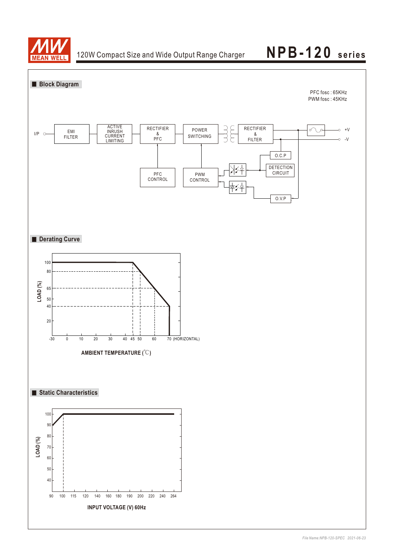

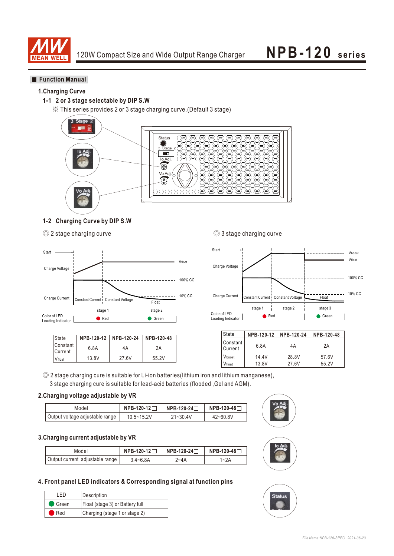

### **Function Manual**

### **1.Charging Curve**

### **1-1 2 or 3 stage selectable by DIP S.W**

※ This series provides 2 or 3 stage charging curve.(Default 3 stage)



### **1-2 Charging Curve by DIP S.W**

<sup>◎ 2</sup> stage charging curve ● ◎ 3 stage charging curve



| l State               | NPB-120-12 | NPB-120-24 | NPB-120-48 |
|-----------------------|------------|------------|------------|
| l Constant<br>Current | 6.8A       | 4Α         | 2A         |
| Vfloat                | 13.8V      | 27.6V      | 55.2V      |



| State                   | NPB-120-12 | NPB-120-24 | NPB-120-48 |
|-------------------------|------------|------------|------------|
| l Constant<br>  Current | 6.8A       | 4A         | 2A         |
| Vboost                  | 14.4V      | 28.8V      | 57.6V      |
| Vfloat                  | 13.8V      | 27.6V      | 55.2V      |

◎ 2 stage charging cure is suitable for Li-ion batteries(lithium iron and lithium manganese), 3 stage charging cure is suitable for lead-acid batteries (flooded ,Gel and AGM).

### **2.Charging voltage adjustable by VR**

| Model                           | NPB-120-12 | NPB-120-24 <sup>-</sup> | $NPB-120-48$ |  |
|---------------------------------|------------|-------------------------|--------------|--|
| Output voltage adjustable range | 10.5~15.2V | $21 - 30.4V$            | $42 - 60.8V$ |  |

#### **3.Charging current adjustable by VR**

| Model                           | $NPB-120-12$ | NPB-120-24□ | NPB-120-48 <b>୮</b> . |
|---------------------------------|--------------|-------------|-----------------------|
| Output current adjustable range | $3.4 - 6.8A$ | ?~4A        | 1~2A                  |

### **4. Front panel LED indicators & Corresponding signal at function pins**

| - FD               | Description                     |
|--------------------|---------------------------------|
| $\bullet$ Green    | Float (stage 3) or Battery full |
| $\blacksquare$ Red | Charging (stage 1 or stage 2)   |



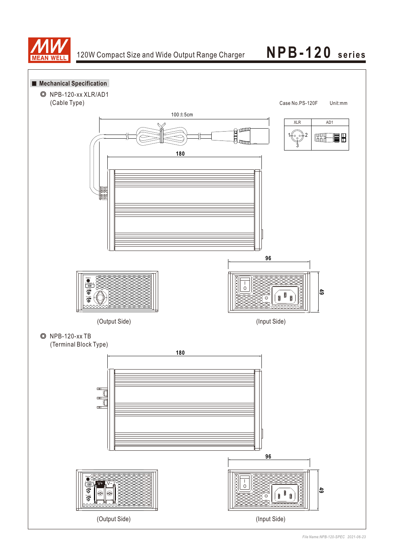